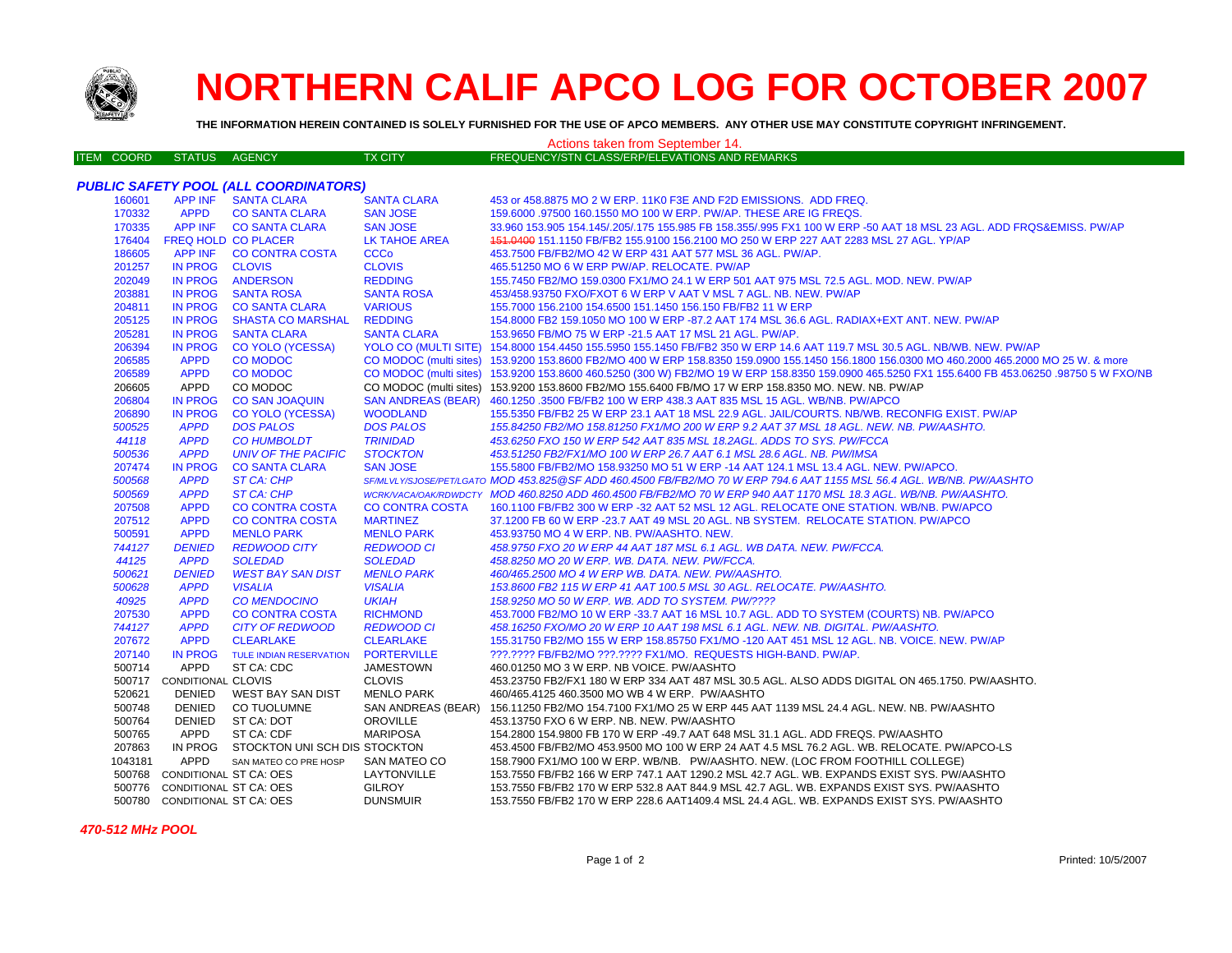

## **NORTHERN CALIF APCO LOG FOR OCTOBER 2007**

**THE INFORMATION HEREIN CONTAINED IS SOLELY FURNISHED FOR THE USE OF APCO MEMBERS. ANY OTHER USE MAY CONSTITUTE COPYRIGHT INFRINGEMENT.**

| Actions taken from September 14. |                               |                                       |                           |                                                                                                                                                  |  |  |  |  |
|----------------------------------|-------------------------------|---------------------------------------|---------------------------|--------------------------------------------------------------------------------------------------------------------------------------------------|--|--|--|--|
| <b>ITEM COORD</b>                | <b>STATUS</b>                 | AGENCY                                | <b>TX CITY</b>            | FREQUENCY/STN CLASS/ERP/ELEVATIONS AND REMARKS                                                                                                   |  |  |  |  |
|                                  |                               |                                       |                           |                                                                                                                                                  |  |  |  |  |
|                                  |                               | PUBLIC SAFETY POOL (ALL COORDINATORS) |                           |                                                                                                                                                  |  |  |  |  |
| 160601                           | <b>APP INF</b>                | <b>SANTA CLARA</b>                    | <b>SANTA CLARA</b>        | 453 or 458.8875 MO 2 W ERP. 11K0 F3E AND F2D EMISSIONS. ADD FREQ.                                                                                |  |  |  |  |
| 170332                           | <b>APPD</b>                   | <b>CO SANTA CLARA</b>                 | <b>SAN JOSE</b>           | 159,6000 .97500 160.1550 MO 100 W ERP. PW/AP. THESE ARE IG FREQS.                                                                                |  |  |  |  |
| 170335                           | <b>APP INF</b>                | <b>CO SANTA CLARA</b>                 | <b>SAN JOSE</b>           | 33.960 153.905 154.145/.205/.175 155.985 FB 158.355/.995 FX1 100 W ERP -50 AAT 18 MSL 23 AGL. ADD FRQS&EMISS. PW/AP                              |  |  |  |  |
| 176404                           |                               | <b>FREQ HOLD CO PLACER</b>            | <b>LK TAHOE AREA</b>      | 451.0400 151.1150 FB/FB2 155.9100 156.2100 MO 250 W ERP 227 AAT 2283 MSL 27 AGL. YP/AP                                                           |  |  |  |  |
| 186605                           |                               | APP INF CO CONTRA COSTA               | <b>CCCo</b>               | 453.7500 FB/FB2/MO 42 W ERP 431 AAT 577 MSL 36 AGL. PW/AP.                                                                                       |  |  |  |  |
| 201257                           | IN PROG CLOVIS                |                                       | <b>CLOVIS</b>             | 465.51250 MO 6 W ERP PW/AP. RELOCATE. PW/AP                                                                                                      |  |  |  |  |
| 202049                           |                               | IN PROG ANDERSON                      | <b>REDDING</b>            | 155.7450 FB2/MO 159.0300 FX1/MO 24.1 W ERP 501 AAT 975 MSL 72.5 AGL. MOD. NEW. PW/AP                                                             |  |  |  |  |
| 203881                           |                               | IN PROG SANTA ROSA                    | <b>SANTA ROSA</b>         | 453/458.93750 FXO/FXOT 6 W ERP V AAT V MSL 7 AGL. NB. NEW. PW/AP                                                                                 |  |  |  |  |
| 204811                           | IN PROG                       | <b>CO SANTA CLARA</b>                 | <b>VARIOUS</b>            | 155.7000 156.2100 154.6500 151.1450 156.150 FB/FB2 11 W ERP                                                                                      |  |  |  |  |
| 205125                           |                               | IN PROG SHASTA CO MARSHAL             | <b>REDDING</b>            | 154.8000 FB2 159.1050 MO 100 W ERP -87.2 AAT 174 MSL 36.6 AGL. RADIAX+EXT ANT. NEW. PW/AP                                                        |  |  |  |  |
| 205281                           | <b>IN PROG</b>                | <b>SANTA CLARA</b>                    | <b>SANTA CLARA</b>        | 153.9650 FB/MO 75 W ERP -21.5 AAT 17 MSL 21 AGL. PW/AP.                                                                                          |  |  |  |  |
| 206394                           | <b>IN PROG</b>                | <b>CO YOLO (YCESSA)</b>               |                           | YOLO CO (MULTI SITE) 154.8000 154.4450 155.5950 155.1450 FB/FB2 350 W ERP 14.6 AAT 119.7 MSL 30.5 AGL. NB/WB. NEW. PW/AP                         |  |  |  |  |
| 206585                           | <b>APPD</b>                   | <b>CO MODOC</b>                       | CO MODOC (multi sites)    | 153.9200 153.8600 FB2/MO 400 W ERP 158.8350 159.0900 155.1450 156.1800 156.0300 MO 460.2000 465.2000 MO 25 W. & more                             |  |  |  |  |
| 206589                           | <b>APPD</b>                   | <b>CO MODOC</b>                       |                           | CO MODOC (multi sites) 153.9200 153.8600 460.5250 (300 W) FB2/MO 19 W ERP 158.8350 159.0900 465.5250 FX1 155.6400 FB 453.06250 .98750 5 W FXO/NB |  |  |  |  |
| 206605                           | APPD                          | CO MODOC                              |                           | CO MODOC (multi sites) 153.9200 153.8600 FB2/MO 155.6400 FB/MO 17 W ERP 158.8350 MO. NEW. NB. PW/AP                                              |  |  |  |  |
| 206804                           | <b>IN PROG</b>                | <b>CO SAN JOAQUIN</b>                 | <b>SAN ANDREAS (BEAR)</b> | 460.1250 .3500 FB/FB2 100 W ERP 438.3 AAT 835 MSL 15 AGL. WB/NB. PW/APCO                                                                         |  |  |  |  |
| 206890                           | <b>IN PROG</b>                | <b>CO YOLO (YCESSA)</b>               | <b>WOODLAND</b>           | 155.5350 FB/FB2 25 W ERP 23.1 AAT 18 MSL 22.9 AGL. JAIL/COURTS. NB/WB. RECONFIG EXIST. PW/AP                                                     |  |  |  |  |
| 500525                           | <b>APPD</b>                   | <b>DOS PALOS</b>                      | <b>DOS PALOS</b>          | 155.84250 FB2/MO 158.81250 FX1/MO 200 W ERP 9.2 AAT 37 MSL 18 AGL. NEW. NB. PW/AASHTO.                                                           |  |  |  |  |
| 44118                            | <b>APPD</b>                   | <b>CO HUMBOLDT</b>                    | <b>TRINIDAD</b>           | 453.6250 FXO 150 W ERP 542 AAT 835 MSL 18.2AGL. ADDS TO SYS. PW/FCCA                                                                             |  |  |  |  |
| 500536                           | <b>APPD</b>                   | <b>UNIV OF THE PACIFIC</b>            | <b>STOCKTON</b>           | 453.51250 FB2/FX1/MO 100 W ERP 26.7 AAT 6.1 MSL 28.6 AGL. NB. PW/IMSA                                                                            |  |  |  |  |
| 207474                           | <b>IN PROG</b>                | <b>CO SANTA CLARA</b>                 | <b>SAN JOSE</b>           | 155.5800 FB/FB2/MO 158.93250 MO 51 W ERP -14 AAT 124.1 MSL 13.4 AGL. NEW. PW/APCO.                                                               |  |  |  |  |
| 500568                           | <b>APPD</b>                   | ST CA: CHP                            |                           | SF/MLVLY/SJOSE/PET/LGATO MOD 453.825@SF ADD 460.4500 FB/FB2/MO 70 W ERP 794.6 AAT 1155 MSL 56.4 AGL. WB/NB. PW/AASHTO                            |  |  |  |  |
| 500569                           | <b>APPD</b>                   | ST CA: CHP                            |                           | WCRK/VACA/OAK/RDWDCTY MOD 460.8250 ADD 460.4500 FB/FB2/MO 70 W ERP 940 AAT 1170 MSL 18.3 AGL. WB/NB. PW/AASHTO.                                  |  |  |  |  |
| 207508                           | <b>APPD</b>                   | <b>CO CONTRA COSTA</b>                | <b>CO CONTRA COSTA</b>    | 160.1100 FB/FB2 300 W ERP -32 AAT 52 MSL 12 AGL. RELOCATE ONE STATION. WB/NB. PW/APCO                                                            |  |  |  |  |
| 207512                           | <b>APPD</b>                   | <b>CO CONTRA COSTA</b>                | <b>MARTINEZ</b>           | 37.1200 FB 60 W ERP -23.7 AAT 49 MSL 20 AGL. NB SYSTEM. RELOCATE STATION. PW/APCO                                                                |  |  |  |  |
| 500591                           | <b>APPD</b>                   | <b>MENLO PARK</b>                     | <b>MENLO PARK</b>         | 453.93750 MO 4 W ERP. NB. PW/AASHTO, NEW.                                                                                                        |  |  |  |  |
| 744127                           | <b>DENIED</b>                 | <b>REDWOOD CITY</b>                   | <b>REDWOOD CI</b>         | 458.9750 FXO 20 W ERP 44 AAT 187 MSL 6.1 AGL. WB DATA. NEW. PW/FCCA.                                                                             |  |  |  |  |
| 44125                            | <b>APPD</b>                   | <b>SOLEDAD</b>                        | <b>SOLEDAD</b>            | 458.8250 MO 20 W ERP. WB. DATA. NEW. PW/FCCA.                                                                                                    |  |  |  |  |
| 500621                           | <b>DENIED</b>                 | <b>WEST BAY SAN DIST</b>              | <b>MENLO PARK</b>         | 460/465.2500 MO 4 W ERP WB. DATA. NEW. PW/AASHTO.                                                                                                |  |  |  |  |
| 500628                           | <b>APPD</b>                   | <b>VISALIA</b>                        | <b>VISALIA</b>            | 153.8600 FB2 115 W ERP 41 AAT 100.5 MSL 30 AGL. RELOCATE. PW/AASHTO.                                                                             |  |  |  |  |
| 40925                            | <b>APPD</b>                   | <b>CO MENDOCINO</b>                   | <b>UKIAH</b>              | 158.9250 MO 50 W ERP. WB. ADD TO SYSTEM. PW/????                                                                                                 |  |  |  |  |
| 207530                           | <b>APPD</b>                   | <b>CO CONTRA COSTA</b>                | <b>RICHMOND</b>           | 453.7000 FB2/MO 10 W ERP -33.7 AAT 16 MSL 10.7 AGL. ADD TO SYSTEM (COURTS) NB. PW/APCO                                                           |  |  |  |  |
| 744127                           | <b>APPD</b>                   | <b>CITY OF REDWOOD</b>                | <b>REDWOOD CI</b>         | 458.16250 FXO/MO 20 W ERP 10 AAT 198 MSL 6.1 AGL. NEW. NB. DIGITAL. PW/AASHTO.                                                                   |  |  |  |  |
| 207672                           | <b>APPD</b>                   | <b>CLEARLAKE</b>                      | <b>CLEARLAKE</b>          | 155.31750 FB2/MO 155 W ERP 158.85750 FX1/MO -120 AAT 451 MSL 12 AGL. NB. VOICE. NEW. PW/AP                                                       |  |  |  |  |
| 207140                           | <b>IN PROG</b>                | <b>TULE INDIAN RESERVATION</b>        | <b>PORTERVILLE</b>        | ???.???? FB/FB2/MO ???.???? FX1/MO. REQUESTS HIGH-BAND. PW/AP.                                                                                   |  |  |  |  |
| 500714                           | APPD                          | ST CA: CDC                            | <b>JAMESTOWN</b>          | 460.01250 MO 3 W ERP. NB VOICE. PW/AASHTO                                                                                                        |  |  |  |  |
| 500717                           | CONDITIONAL CLOVIS            |                                       | <b>CLOVIS</b>             | 453.23750 FB2/FX1 180 W ERP 334 AAT 487 MSL 30.5 AGL. ALSO ADDS DIGITAL ON 465.1750. PW/AASHTO.                                                  |  |  |  |  |
| 520621                           | <b>DENIED</b>                 | WEST BAY SAN DIST                     | <b>MENLO PARK</b>         | 460/465.4125 460.3500 MO WB 4 W ERP. PW/AASHTO                                                                                                   |  |  |  |  |
| 500748                           | DENIED                        | <b>CO TUOLUMNE</b>                    | SAN ANDREAS (BEAR)        | 156.11250 FB2/MO 154.7100 FX1/MO 25 W ERP 445 AAT 1139 MSL 24.4 AGL. NEW. NB. PW/AASHTO                                                          |  |  |  |  |
| 500764                           | DENIED                        | ST CA: DOT                            | <b>OROVILLE</b>           | 453.13750 FXO 6 W ERP. NB. NEW. PW/AASHTO                                                                                                        |  |  |  |  |
| 500765                           | APPD                          | ST CA: CDF                            | <b>MARIPOSA</b>           | 154.2800 154.9800 FB 170 W ERP -49.7 AAT 648 MSL 31.1 AGL. ADD FREQS. PW/AASHTO                                                                  |  |  |  |  |
| 207863                           |                               | IN PROG STOCKTON UNI SCH DIS STOCKTON |                           | 453.4500 FB/FB2/MO 453.9500 MO 100 W ERP 24 AAT 4.5 MSL 76.2 AGL. WB. RELOCATE. PW/APCO-LS                                                       |  |  |  |  |
| 1043181                          | APPD                          | SAN MATEO CO PRE HOSP                 | SAN MATEO CO              | 158.7900 FX1/MO 100 W ERP. WB/NB. PW/AASHTO. NEW. (LOC FROM FOOTHILL COLLEGE)                                                                    |  |  |  |  |
| 500768                           | CONDITIONAL ST CA: OES        |                                       | LAYTONVILLE               | 153.7550 FB/FB2 166 W ERP 747.1 AAT 1290.2 MSL 42.7 AGL. WB. EXPANDS EXIST SYS. PW/AASHTO                                                        |  |  |  |  |
|                                  | 500776 CONDITIONAL ST CA: OES |                                       | <b>GILROY</b>             | 153.7550 FB/FB2 170 W ERP 532.8 AAT 844.9 MSL 42.7 AGL. WB. EXPANDS EXIST SYS. PW/AASHTO                                                         |  |  |  |  |
|                                  | 500780 CONDITIONAL ST CA: OES |                                       | <b>DUNSMUIR</b>           | 153.7550 FB/FB2 170 W ERP 228.6 AAT1409.4 MSL 24.4 AGL. WB. EXPANDS EXIST SYS. PW/AASHTO                                                         |  |  |  |  |

 *470-512 MHz POOL*